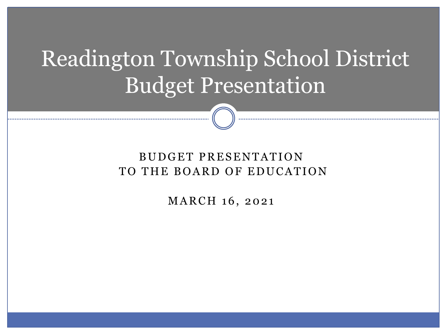# Readington Township School District Budget Presentation

#### BUDGET PRESENTATION TO THE BOARD OF EDUCATION

MARCH 16, 2021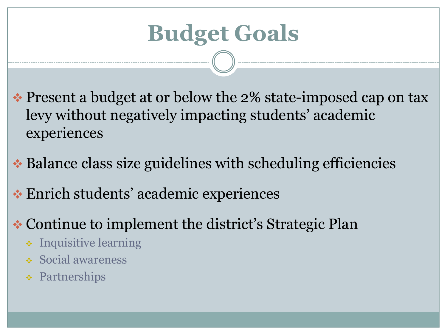# **Budget Goals**

- ❖ Present a budget at or below the 2% state-imposed cap on tax levy without negatively impacting students' academic experiences
- ❖ Balance class size guidelines with scheduling efficiencies
- ❖ Enrich students' academic experiences
- ❖ Continue to implement the district's Strategic Plan
	- ❖ Inquisitive learning
	- ❖ Social awareness
	- ❖ Partnerships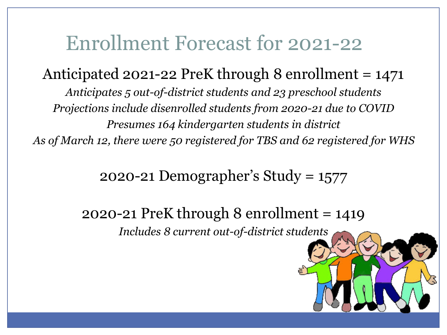### Enrollment Forecast for 2021-22

Anticipated 2021-22 PreK through 8 enrollment  $= 1471$ *Anticipates 5 out-of-district students and 23 preschool students Projections include disenrolled students from 2020-21 due to COVID Presumes 164 kindergarten students in district As of March 12, there were 50 registered for TBS and 62 registered for WHS*

2020-21 Demographer's Study = 1577

2020-21 PreK through 8 enrollment = 1419 *Includes 8 current out-of-district students*

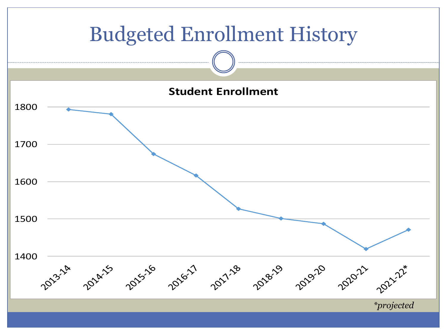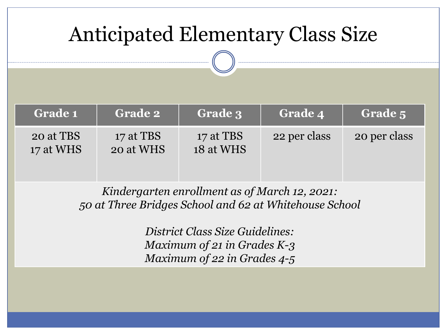### Anticipated Elementary Class Size

| <b>Grade 1</b>         | <b>Grade 2</b>         | Grade 3                | <b>Grade 4</b> | Grade 5      |
|------------------------|------------------------|------------------------|----------------|--------------|
| 20 at TBS<br>17 at WHS | 17 at TBS<br>20 at WHS | 17 at TBS<br>18 at WHS | 22 per class   | 20 per class |

*Kindergarten enrollment as of March 12, 2021: 50 at Three Bridges School and 62 at Whitehouse School*

> *District Class Size Guidelines: Maximum of 21 in Grades K-3 Maximum of 22 in Grades 4-5*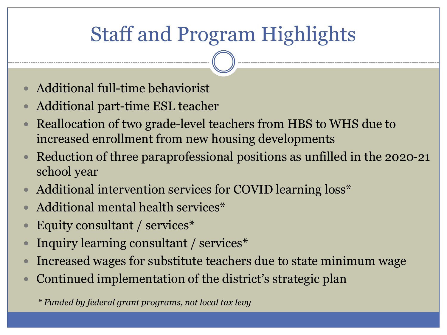### Staff and Program Highlights

- Additional full-time behaviorist
- Additional part-time ESL teacher
- Reallocation of two grade-level teachers from HBS to WHS due to increased enrollment from new housing developments
- Reduction of three paraprofessional positions as unfilled in the 2020-21 school year
- Additional intervention services for COVID learning loss\*
- Additional mental health services\*
- Equity consultant / services\*
- Inquiry learning consultant / services\*
- Increased wages for substitute teachers due to state minimum wage
- Continued implementation of the district's strategic plan

*\* Funded by federal grant programs, not local tax levy*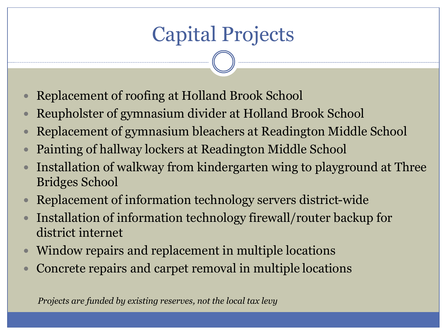## Capital Projects

- Replacement of roofing at Holland Brook School
- Reupholster of gymnasium divider at Holland Brook School
- Replacement of gymnasium bleachers at Readington Middle School
- Painting of hallway lockers at Readington Middle School
- Installation of walkway from kindergarten wing to playground at Three Bridges School
- Replacement of information technology servers district-wide
- Installation of information technology firewall/router backup for district internet
- Window repairs and replacement in multiple locations
- Concrete repairs and carpet removal in multiple locations

*Projects are funded by existing reserves, not the local tax levy*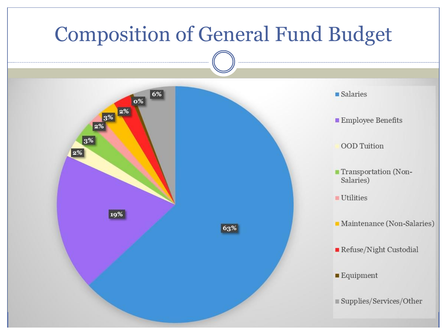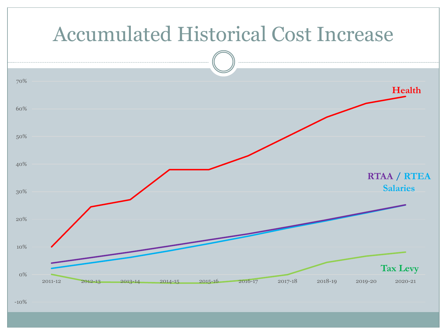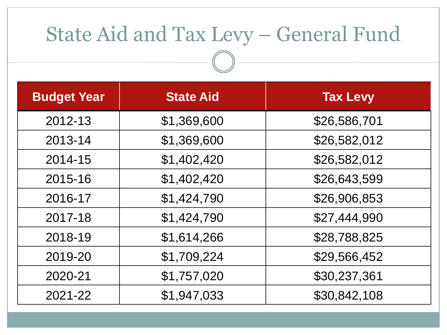### State Aid and Tax Levy – General Fund

| <b>Budget Year</b> | <b>State Aid</b> | <b>Tax Levy</b> |
|--------------------|------------------|-----------------|
| 2012-13            | \$1,369,600      | \$26,586,701    |
| 2013-14            | \$1,369,600      | \$26,582,012    |
| 2014-15            | \$1,402,420      | \$26,582,012    |
| 2015-16            | \$1,402,420      | \$26,643,599    |
| 2016-17            | \$1,424,790      | \$26,906,853    |
| 2017-18            | \$1,424,790      | \$27,444,990    |
| 2018-19            | \$1,614,266      | \$28,788,825    |
| 2019-20            | \$1,709,224      | \$29,566,452    |
| 2020-21            | \$1,757,020      | \$30,237,361    |
| 2021-22            | \$1,947,033      | \$30,842,108    |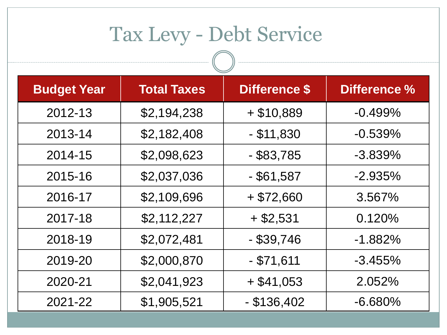## Tax Levy - Debt Service

| <b>Budget Year</b> | <b>Total Taxes</b> | <b>Difference \$</b> | <b>Difference %</b> |
|--------------------|--------------------|----------------------|---------------------|
| 2012-13            | \$2,194,238        | $+$ \$10,889         | $-0.499%$           |
| 2013-14            | \$2,182,408        | $-$ \$11,830         | $-0.539%$           |
| 2014-15            | \$2,098,623        | $-$ \$83,785         | $-3.839%$           |
| 2015-16            | \$2,037,036        | $-$ \$61,587         | $-2.935%$           |
| 2016-17            | \$2,109,696        | $+$ \$72,660         | 3.567%              |
| 2017-18            | \$2,112,227        | $+$ \$2,531          | 0.120%              |
| 2018-19            | \$2,072,481        | $-$ \$39,746         | $-1.882%$           |
| 2019-20            | \$2,000,870        | $-$ \$71,611         | $-3.455%$           |
| 2020-21            | \$2,041,923        | $+$ \$41,053         | 2.052%              |
| 2021-22            | \$1,905,521        | $-$ \$136,402        | $-6.680\%$          |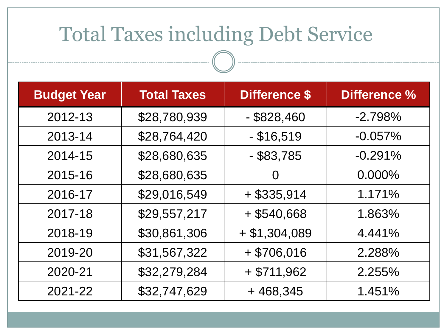### Total Taxes including Debt Service

| <b>Budget Year</b> | <b>Total Taxes</b> | <b>Difference \$</b> | Difference % |
|--------------------|--------------------|----------------------|--------------|
| 2012-13            | \$28,780,939       | $-$ \$828,460        | $-2.798%$    |
| 2013-14            | \$28,764,420       | $-$ \$16,519         | $-0.057\%$   |
| 2014-15            | \$28,680,635       | $-$ \$83,785         | $-0.291%$    |
| 2015-16            | \$28,680,635       | 0                    | $0.000\%$    |
| 2016-17            | \$29,016,549       | $+$ \$335,914        | 1.171%       |
| 2017-18            | \$29,557,217       | $+$ \$540,668        | 1.863%       |
| 2018-19            | \$30,861,306       | $+$ \$1,304,089      | 4.441%       |
| 2019-20            | \$31,567,322       | $+$ \$706,016        | 2.288%       |
| 2020-21            | \$32,279,284       | $+$ \$711,962        | 2.255%       |
| 2021-22            | \$32,747,629       | $+468,345$           | 1.451%       |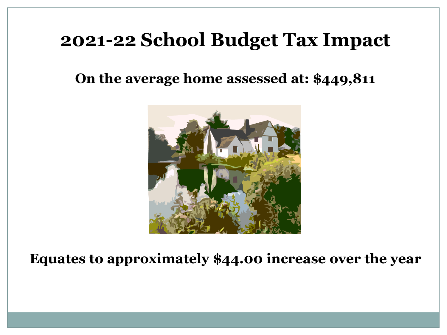#### **2021-22 School Budget Tax Impact**

#### **On the average home assessed at: \$449,811**



**Equates to approximately \$44.00 increase over the year**